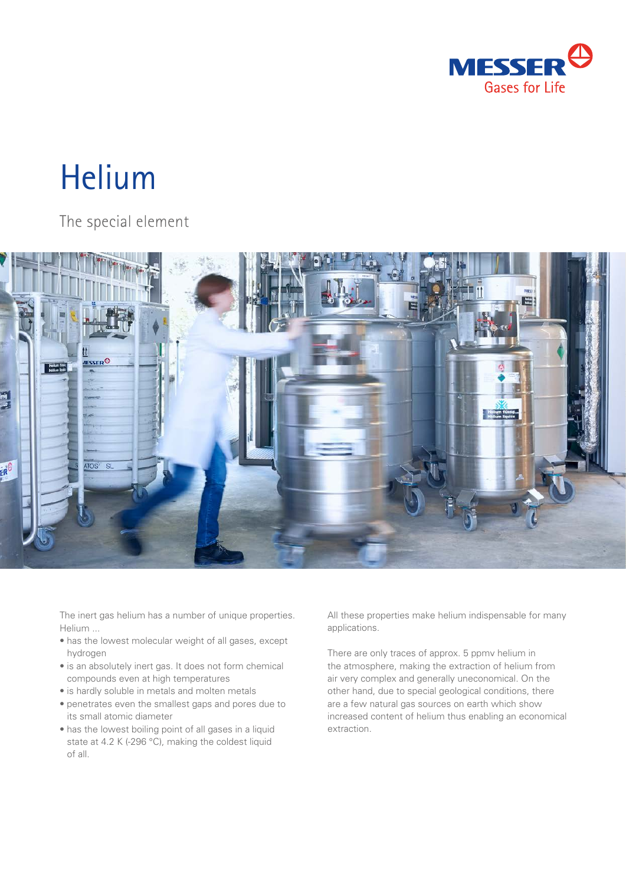

# Helium

The special element



The inert gas helium has a number of unique properties. Helium ...

- has the lowest molecular weight of all gases, except hydrogen
- is an absolutely inert gas. It does not form chemical compounds even at high temperatures
- is hardly soluble in metals and molten metals
- penetrates even the smallest gaps and pores due to its small atomic diameter
- has the lowest boiling point of all gases in a liquid state at 4.2 K (-296 °C), making the coldest liquid of all.

All these properties make helium indispensable for many applications.

There are only traces of approx. 5 ppmv helium in the atmosphere, making the extraction of helium from air very complex and generally uneconomical. On the other hand, due to special geological conditions, there are a few natural gas sources on earth which show increased content of helium thus enabling an economical extraction.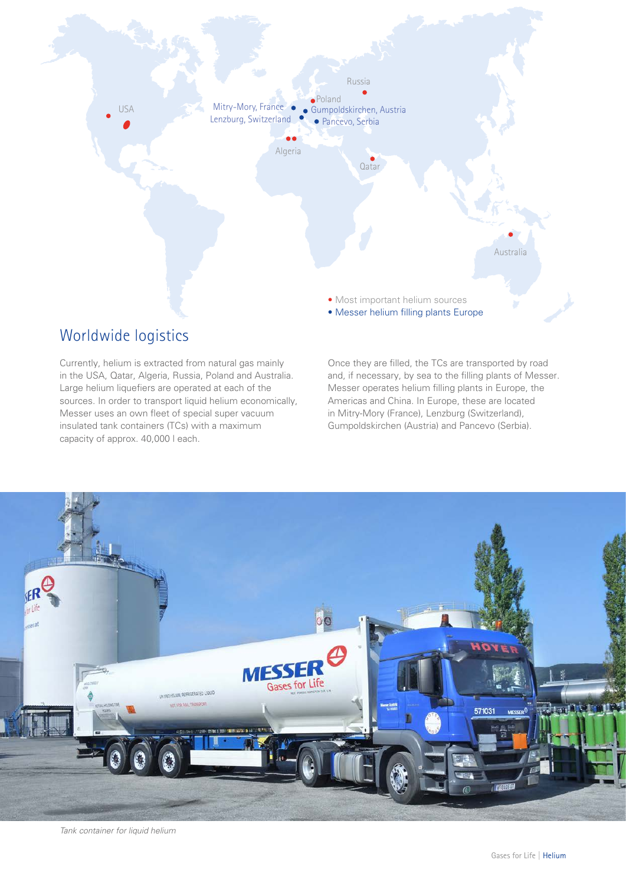

#### Worldwide logistics

Currently, helium is extracted from natural gas mainly in the USA, Qatar, Algeria, Russia, Poland and Australia. Large helium liquefiers are operated at each of the sources. In order to transport liquid helium economically, Messer uses an own fleet of special super vacuum insulated tank containers (TCs) with a maximum capacity of approx. 40,000 l each.

Once they are filled, the TCs are transported by road and, if necessary, by sea to the filling plants of Messer. Messer operates helium filling plants in Europe, the Americas and China. In Europe, these are located in Mitry-Mory (France), Lenzburg (Switzerland), Gumpoldskirchen (Austria) and Pancevo (Serbia).



*Tank container for liquid helium*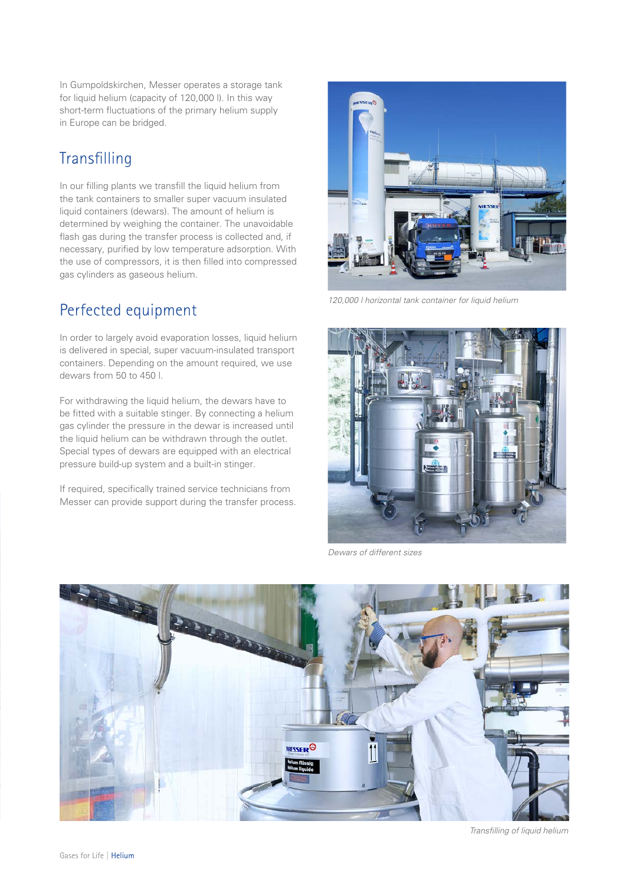In Gumpoldskirchen, Messer operates a storage tank for liquid helium (capacity of 120,000 l). In this way short-term fluctuations of the primary helium supply in Europe can be bridged.

#### Transfilling

In our filling plants we transfill the liquid helium from the tank containers to smaller super vacuum insulated liquid containers (dewars). The amount of helium is determined by weighing the container. The unavoidable flash gas during the transfer process is collected and, if necessary, purified by low temperature adsorption. With the use of compressors, it is then filled into compressed gas cylinders as gaseous helium.

## Perfected equipment

In order to largely avoid evaporation losses, liquid helium is delivered in special, super vacuum-insulated transport containers. Depending on the amount required, we use dewars from 50 to 450 l.

For withdrawing the liquid helium, the dewars have to be fitted with a suitable stinger. By connecting a helium gas cylinder the pressure in the dewar is increased until the liquid helium can be withdrawn through the outlet. Special types of dewars are equipped with an electrical pressure build-up system and a built-in stinger.

If required, specifically trained service technicians from Messer can provide support during the transfer process.



*120,000 l horizontal tank container for liquid helium*



*Dewars of different sizes*

![](_page_2_Picture_11.jpeg)

*Transfilling of liquid helium*